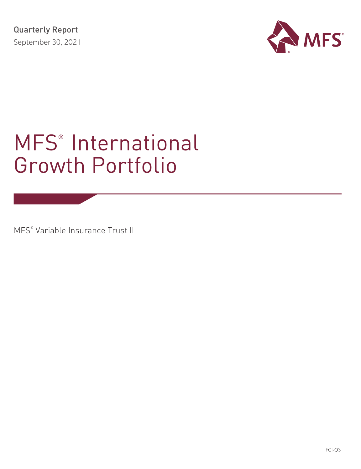

# MFS<sup>®</sup> International Growth Portfolio

MFS® Variable Insurance Trust II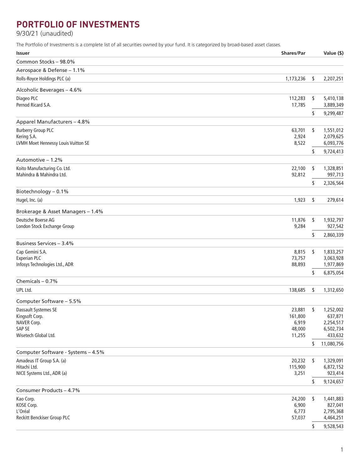# **PORTFOLIO OF INVESTMENTS**

9/30/21 (unaudited)

The Portfolio of Investments is a complete list of all securities owned by your fund. It is categorized by broad-based asset classes.

| <b>Issuer</b>                                            | <b>Shares/Par</b> |    | Value (\$)             |
|----------------------------------------------------------|-------------------|----|------------------------|
| Common Stocks - 98.0%                                    |                   |    |                        |
| Aerospace & Defense - 1.1%                               |                   |    |                        |
| Rolls-Royce Holdings PLC (a)                             | 1,173,236         | \$ | 2,207,251              |
| Alcoholic Beverages - 4.6%                               |                   |    |                        |
| Diageo PLC                                               | 112,283           | \$ | 5,410,138              |
| Pernod Ricard S.A.                                       | 17,785            |    | 3,889,349              |
| Apparel Manufacturers - 4.8%                             |                   | \$ | 9,299,487              |
| <b>Burberry Group PLC</b>                                | 63,701            | \$ | 1,551,012              |
| Kering S.A.                                              | 2,924             |    | 2,079,625              |
| LVMH Moet Hennessy Louis Vuitton SE                      | 8,522             |    | 6,093,776              |
|                                                          |                   | \$ | 9,724,413              |
| Automotive - 1.2%                                        |                   |    |                        |
| Koito Manufacturing Co. Ltd.<br>Mahindra & Mahindra Ltd. | 22,100<br>92,812  | \$ | 1,328,851<br>997,713   |
|                                                          |                   | S  | 2,326,564              |
| Biotechnology - 0.1%                                     |                   |    |                        |
| Hugel, Inc. (a)                                          | 1,923             | \$ | 279,614                |
| Brokerage & Asset Managers - 1.4%                        |                   |    |                        |
| Deutsche Boerse AG                                       | 11,876            | \$ | 1,932,797              |
| London Stock Exchange Group                              | 9,284             |    | 927,542                |
| <b>Business Services - 3.4%</b>                          |                   | \$ | 2,860,339              |
| Cap Gemini S.A.                                          | 8,815             | \$ | 1,833,257              |
| <b>Experian PLC</b>                                      | 73,757            |    | 3,063,928              |
| Infosys Technologies Ltd., ADR                           | 88,893            |    | 1,977,869              |
|                                                          |                   | \$ | 6,875,054              |
| Chemicals $-0.7%$<br>UPL Ltd.                            | 138,685           | \$ | 1,312,650              |
|                                                          |                   |    |                        |
| Computer Software - 5.5%<br>Dassault Systemes SE         | 23,881            |    | 1,252,002              |
| Kingsoft Corp.                                           | 161,800           | \$ | 637,871                |
| NAVER Corp.                                              | 6,919             |    | 2,254,517              |
| SAP SE                                                   | 48,000            |    | 6,502,734              |
| Wisetech Global Ltd.                                     | 11,255            |    | 433,632                |
|                                                          |                   | S  | 11,080,756             |
| Computer Software - Systems - 4.5%                       |                   |    |                        |
| Amadeus IT Group S.A. (a)<br>Hitachi Ltd.                | 20,232<br>115,900 | \$ | 1,329,091<br>6,872,152 |
| NICE Systems Ltd., ADR (a)                               | 3,251             |    | 923,414                |
|                                                          |                   | \$ | 9,124,657              |
| Consumer Products - 4.7%                                 |                   |    |                        |
| Kao Corp.                                                | 24,200            | \$ | 1,441,883              |
| KOSE Corp.                                               | 6,900             |    | 827,041                |
| L'Oréal<br>Reckitt Benckiser Group PLC                   | 6,773<br>57,037   |    | 2,795,368<br>4,464,251 |
|                                                          |                   |    | 9,528,543              |
|                                                          |                   |    |                        |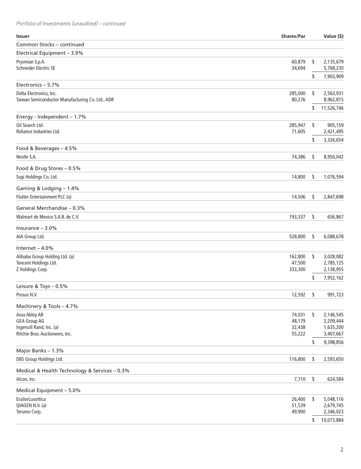*Portfolio of Investments (unaudited) – continued*

| <b>Issuer</b>                                                               | Shares/Par        | Value (\$)                   |
|-----------------------------------------------------------------------------|-------------------|------------------------------|
| Common Stocks - continued                                                   |                   |                              |
| Electrical Equipment - 3.9%                                                 |                   |                              |
| Prysmian S.p.A.                                                             | 60,879            | \$<br>2,135,679              |
| Schneider Electric SE                                                       | 34,694            | 5,768,230                    |
|                                                                             |                   | \$<br>7,903,909              |
| Electronics - 5.7%                                                          |                   |                              |
| Delta Electronics, Inc.<br>Taiwan Semiconductor Manufacturing Co. Ltd., ADR | 285,000<br>80,276 | \$<br>2,563,931<br>8,962,815 |
|                                                                             |                   | \$<br>11,526,746             |
| Energy - Independent - 1.7%                                                 |                   |                              |
| Oil Search Ltd.                                                             | 285,947           | \$<br>905,159                |
| Reliance Industries Ltd.                                                    | 71,605            | 2,421,495                    |
|                                                                             |                   | \$<br>3,326,654              |
| Food & Beverages - 4.5%                                                     |                   |                              |
| Nestle S.A.                                                                 | 74,386            | \$<br>8,950,042              |
| Food & Drug Stores - 0.5%                                                   |                   |                              |
| Sugi Holdings Co. Ltd.                                                      | 14,800            | \$<br>1,076,594              |
|                                                                             |                   |                              |
| Gaming & Lodging - 1.4%                                                     |                   |                              |
| Flutter Entertainment PLC (a)                                               | 14,506            | \$<br>2,847,698              |
| General Merchandise - 0.3%                                                  |                   |                              |
| Walmart de Mexico S.A.B. de C.V.                                            | 193,337           | \$<br>656,867                |
| Insurance $-3.0%$                                                           |                   |                              |
| AIA Group Ltd.                                                              | 528,800           | \$<br>6,088,678              |
| Internet $-4.0%$                                                            |                   |                              |
| Alibaba Group Holding Ltd. (a)                                              | 162,800           | \$<br>3,028,082              |
| Tencent Holdings Ltd.                                                       | 47,500            | 2,785,125                    |
| Z Holdings Corp.                                                            | 333,300           | 2,138,955                    |
|                                                                             |                   | \$<br>7,952,162              |
| Leisure & Toys - 0.5%                                                       |                   |                              |
| Prosus N.V.                                                                 | 12,592            | \$<br>991,723                |
| Machinery & Tools - 4.7%                                                    |                   |                              |
| Assa Abloy AB                                                               | 74,031            | \$<br>2,146,545              |
| <b>GEA Group AG</b><br>Ingersoll Rand, Inc. (a)                             | 48,179            | 2,209,444                    |
| Ritchie Bros. Auctioneers, Inc.                                             | 32,438<br>55,222  | 1,635,200<br>3,407,667       |
|                                                                             |                   | \$<br>9,398,856              |
| Major Banks - 1.3%                                                          |                   |                              |
| DBS Group Holdings Ltd.                                                     | 116,800           | \$<br>2,593,650              |
| Medical & Health Technology & Services - 0.3%                               |                   |                              |
| Alcon, Inc.                                                                 | 7,710             | \$<br>624,584                |
|                                                                             |                   |                              |
| Medical Equipment - 5.0%                                                    |                   |                              |
| EssilorLuxottica<br>QIAGEN N.V. (a)                                         | 26,400<br>51,539  | \$<br>5,048,116<br>2,679,745 |
| Terumo Corp.                                                                | 49,900            | 2,346,023                    |
|                                                                             |                   | \$<br>10,073,884             |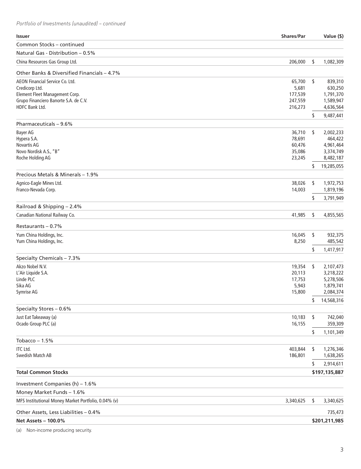*Portfolio of Investments (unaudited) – continued*

| <b>Issuer</b>                                           | <b>Shares/Par</b> |      | Value (\$)             |
|---------------------------------------------------------|-------------------|------|------------------------|
| Common Stocks - continued                               |                   |      |                        |
| Natural Gas - Distribution - 0.5%                       |                   |      |                        |
| China Resources Gas Group Ltd.                          | 206,000           | \$   | 1,082,309              |
| Other Banks & Diversified Financials - 4.7%             |                   |      |                        |
| AEON Financial Service Co. Ltd.                         | 65,700            | - \$ | 839,310                |
| Credicorp Ltd.                                          | 5,681             |      | 630,250                |
| Element Fleet Management Corp.                          | 177,539           |      | 1,791,370              |
| Grupo Financiero Banorte S.A. de C.V.<br>HDFC Bank Ltd. | 247,559           |      | 1,589,947              |
|                                                         | 216,273           | S    | 4,636,564<br>9,487,441 |
| Pharmaceuticals - 9.6%                                  |                   |      |                        |
| <b>Bayer AG</b>                                         | 36,710            | \$   | 2,002,233              |
| Hypera S.A.                                             | 78,691            |      | 464,422                |
| <b>Novartis AG</b>                                      | 60,476            |      | 4,961,464              |
| Novo Nordisk A.S., "B"                                  | 35,086            |      | 3,374,749              |
| Roche Holding AG                                        | 23,245            |      | 8,482,187              |
| Precious Metals & Minerals - 1.9%                       |                   | S    | 19,285,055             |
| Agnico-Eagle Mines Ltd.                                 | 38,026            | \$   | 1,972,753              |
| Franco-Nevada Corp.                                     | 14,003            |      | 1,819,196              |
|                                                         |                   | \$   | 3,791,949              |
| Railroad & Shipping - 2.4%                              |                   |      |                        |
| Canadian National Railway Co.                           | 41,985            | \$   | 4,855,565              |
| Restaurants - 0.7%                                      |                   |      |                        |
| Yum China Holdings, Inc.                                | 16,045            | \$   | 932,375                |
| Yum China Holdings, Inc.                                | 8,250             |      | 485,542                |
| Specialty Chemicals - 7.3%                              |                   | \$   | 1,417,917              |
| Akzo Nobel N.V.                                         | 19,354            | \$   | 2,107,473              |
| L'Air Liquide S.A.                                      | 20,113            |      | 3,218,222              |
| Linde PLC                                               | 17,753            |      | 5,278,506              |
| Sika AG                                                 | 5,943             |      | 1,879,741              |
| Symrise AG                                              | 15,800            |      | 2,084,374              |
|                                                         |                   | \$   | 14,568,316             |
| Specialty Stores - 0.6%                                 |                   |      |                        |
| Just Eat Takeaway (a)<br>Ocado Group PLC (a)            | 10,183<br>16,155  | \$   | 742,040<br>359,309     |
|                                                         |                   | \$   | 1,101,349              |
| Tobacco $-1.5%$                                         |                   |      |                        |
| ITC Ltd.                                                | 403,844           | \$   | 1,276,346              |
| Swedish Match AB                                        | 186,801           |      | 1,638,265              |
|                                                         |                   | \$   | 2,914,611              |
| <b>Total Common Stocks</b>                              |                   |      | \$197,135,887          |
| Investment Companies (h) - 1.6%                         |                   |      |                        |
| Money Market Funds - 1.6%                               |                   |      |                        |
| MFS Institutional Money Market Portfolio, 0.04% (v)     | 3,340,625         | \$   | 3,340,625              |
| Other Assets, Less Liabilities - 0.4%                   |                   |      | 735,473                |
| <b>Net Assets - 100.0%</b>                              |                   |      | \$201,211,985          |
|                                                         |                   |      |                        |

(a) Non-income producing security.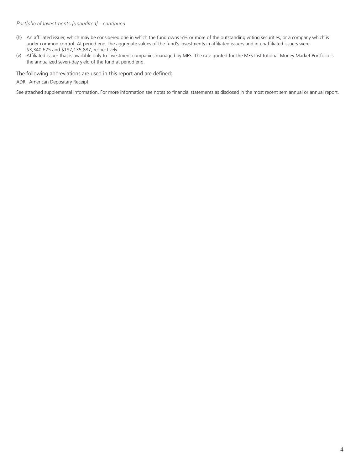#### *Portfolio of Investments (unaudited) – continued*

- (h) An affiliated issuer, which may be considered one in which the fund owns 5% or more of the outstanding voting securities, or a company which is under common control. At period end, the aggregate values of the fund's investments in affiliated issuers and in unaffiliated issuers were \$3,340,625 and \$197,135,887, respectively.
- (v) Affiliated issuer that is available only to investment companies managed by MFS. The rate quoted for the MFS Institutional Money Market Portfolio is the annualized seven-day yield of the fund at period end.

The following abbreviations are used in this report and are defined:

ADR American Depositary Receipt

See attached supplemental information. For more information see notes to financial statements as disclosed in the most recent semiannual or annual report.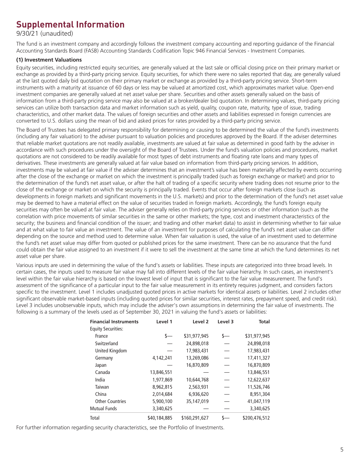# **Supplemental Information**

9/30/21 (unaudited)

The fund is an investment company and accordingly follows the investment company accounting and reporting guidance of the Financial Accounting Standards Board (FASB) Accounting Standards Codification Topic 946 Financial Services - Investment Companies.

### **(1) Investment Valuations**

Equity securities, including restricted equity securities, are generally valued at the last sale or official closing price on their primary market or exchange as provided by a third-party pricing service. Equity securities, for which there were no sales reported that day, are generally valued at the last quoted daily bid quotation on their primary market or exchange as provided by a third-party pricing service. Short-term instruments with a maturity at issuance of 60 days or less may be valued at amortized cost, which approximates market value. Open-end investment companies are generally valued at net asset value per share. Securities and other assets generally valued on the basis of information from a third-party pricing service may also be valued at a broker/dealer bid quotation. In determining values, third-party pricing services can utilize both transaction data and market information such as yield, quality, coupon rate, maturity, type of issue, trading characteristics, and other market data. The values of foreign securities and other assets and liabilities expressed in foreign currencies are converted to U.S. dollars using the mean of bid and asked prices for rates provided by a third-party pricing service.

The Board of Trustees has delegated primary responsibility for determining or causing to be determined the value of the fund's investments (including any fair valuation) to the adviser pursuant to valuation policies and procedures approved by the Board. If the adviser determines that reliable market quotations are not readily available, investments are valued at fair value as determined in good faith by the adviser in accordance with such procedures under the oversight of the Board of Trustees. Under the fund's valuation policies and procedures, market quotations are not considered to be readily available for most types of debt instruments and floating rate loans and many types of derivatives. These investments are generally valued at fair value based on information from third-party pricing services. In addition, investments may be valued at fair value if the adviser determines that an investment's value has been materially affected by events occurring after the close of the exchange or market on which the investment is principally traded (such as foreign exchange or market) and prior to the determination of the fund's net asset value, or after the halt of trading of a specific security where trading does not resume prior to the close of the exchange or market on which the security is principally traded. Events that occur after foreign markets close (such as developments in foreign markets and significant movements in the U.S. markets) and prior to the determination of the fund's net asset value may be deemed to have a material effect on the value of securities traded in foreign markets. Accordingly, the fund's foreign equity securities may often be valued at fair value. The adviser generally relies on third-party pricing services or other information (such as the correlation with price movements of similar securities in the same or other markets; the type, cost and investment characteristics of the security; the business and financial condition of the issuer; and trading and other market data) to assist in determining whether to fair value and at what value to fair value an investment. The value of an investment for purposes of calculating the fund's net asset value can differ depending on the source and method used to determine value. When fair valuation is used, the value of an investment used to determine the fund's net asset value may differ from quoted or published prices for the same investment. There can be no assurance that the fund could obtain the fair value assigned to an investment if it were to sell the investment at the same time at which the fund determines its net asset value per share.

Various inputs are used in determining the value of the fund's assets or liabilities. These inputs are categorized into three broad levels. In certain cases, the inputs used to measure fair value may fall into different levels of the fair value hierarchy. In such cases, an investment's level within the fair value hierarchy is based on the lowest level of input that is significant to the fair value measurement. The fund's assessment of the significance of a particular input to the fair value measurement in its entirety requires judgment, and considers factors specific to the investment. Level 1 includes unadjusted quoted prices in active markets for identical assets or liabilities. Level 2 includes other significant observable market-based inputs (including quoted prices for similar securities, interest rates, prepayment speed, and credit risk). Level 3 includes unobservable inputs, which may include the adviser's own assumptions in determining the fair value of investments. The following is a summary of the levels used as of September 30, 2021 in valuing the fund's assets or liabilities:

| <b>Financial Instruments</b> | Level 1      | Level 2       | Level 3 | <b>Total</b>  |
|------------------------------|--------------|---------------|---------|---------------|
| <b>Equity Securities:</b>    |              |               |         |               |
| France                       | s—           | \$31,977,945  | s—      | \$31,977,945  |
| Switzerland                  |              | 24,898,018    |         | 24,898,018    |
| <b>United Kingdom</b>        |              | 17.983.431    |         | 17,983,431    |
| Germany                      | 4,142,241    | 13,269,086    |         | 17,411,327    |
| Japan                        |              | 16,870,809    |         | 16,870,809    |
| Canada                       | 13,846,551   |               |         | 13,846,551    |
| India                        | 1,977,869    | 10,644,768    |         | 12,622,637    |
| Taiwan                       | 8,962,815    | 2,563,931     |         | 11,526,746    |
| China                        | 2,014,684    | 6,936,620     |         | 8,951,304     |
| <b>Other Countries</b>       | 5,900,100    | 35,147,019    |         | 41,047,119    |
| <b>Mutual Funds</b>          | 3,340,625    |               |         | 3,340,625     |
| Total                        | \$40,184,885 | \$160,291,627 | s—      | \$200,476,512 |

For further information regarding security characteristics, see the Portfolio of Investments.